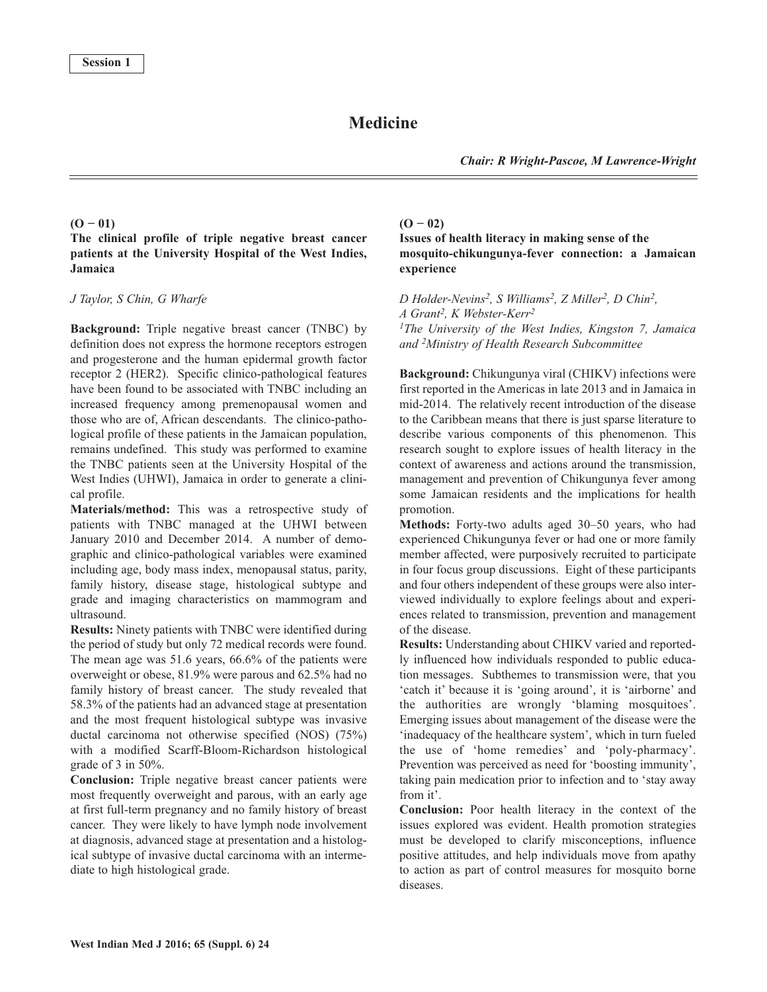# **Medicine**

*Chair: R Wright-Pascoe, M Lawrence-Wright*

### **(O − 01)**

# **The clinical profile of triple negative breast cancer patients at the University Hospital of the West Indies, Jamaica**

### *J Taylor, S Chin, G Wharfe*

**Background:** Triple negative breast cancer (TNBC) by definition does not express the hormone receptors estrogen and progesterone and the human epidermal growth factor receptor 2 (HER2). Specific clinico-pathological features have been found to be associated with TNBC including an increased frequency among premenopausal women and those who are of, African descendants. The clinico-pathological profile of these patients in the Jamaican population, remains undefined. This study was performed to examine the TNBC patients seen at the University Hospital of the West Indies (UHWI), Jamaica in order to generate a clinical profile.

**Materials/method:** This was a retrospective study of patients with TNBC managed at the UHWI between January 2010 and December 2014. A number of demographic and clinico-pathological variables were examined including age, body mass index, menopausal status, parity, family history, disease stage, histological subtype and grade and imaging characteristics on mammogram and ultrasound.

**Results:** Ninety patients with TNBC were identified during the period of study but only 72 medical records were found. The mean age was 51.6 years, 66.6% of the patients were overweight or obese, 81.9% were parous and 62.5% had no family history of breast cancer. The study revealed that 58.3% of the patients had an advanced stage at presentation and the most frequent histological subtype was invasive ductal carcinoma not otherwise specified (NOS) (75%) with a modified Scarff-Bloom-Richardson histological grade of 3 in 50%.

**Conclusion:** Triple negative breast cancer patients were most frequently overweight and parous, with an early age at first full-term pregnancy and no family history of breast cancer. They were likely to have lymph node involvement at diagnosis, advanced stage at presentation and a histological subtype of invasive ductal carcinoma with an intermediate to high histological grade.

# **(O − 02)**

**Issues of health literacy in making sense of the mosquito-chikungunya-fever connection: a Jamaican experience**

*D Holder-Nevins2, S Williams2, Z Miller2, D Chin2, A Grant 2, K Webster-Kerr2 1The University of the West Indies, Kingston 7, Jamaica and 2Ministry of Health Research Subcommittee*

**Background:** Chikungunya viral (CHIKV) infections were first reported in the Americas in late 2013 and in Jamaica in mid-2014. The relatively recent introduction of the disease to the Caribbean means that there is just sparse literature to describe various components of this phenomenon. This research sought to explore issues of health literacy in the context of awareness and actions around the transmission, management and prevention of Chikungunya fever among some Jamaican residents and the implications for health promotion.

**Methods:** Forty-two adults aged 30–50 years, who had experienced Chikungunya fever or had one or more family member affected, were purposively recruited to participate in four focus group discussions. Eight of these participants and four others independent of these groups were also interviewed individually to explore feelings about and experiences related to transmission, prevention and management of the disease.

**Results:** Understanding about CHIKV varied and reportedly influenced how individuals responded to public education messages. Subthemes to transmission were, that you 'catch it' because it is 'going around', it is 'airborne' and the authorities are wrongly 'blaming mosquitoes'. Emerging issues about management of the disease were the 'inadequacy of the healthcare system', which in turn fueled the use of 'home remedies' and 'poly-pharmacy'. Prevention was perceived as need for 'boosting immunity', taking pain medication prior to infection and to 'stay away from it'.

**Conclusion:** Poor health literacy in the context of the issues explored was evident. Health promotion strategies must be developed to clarify misconceptions, influence positive attitudes, and help individuals move from apathy to action as part of control measures for mosquito borne diseases.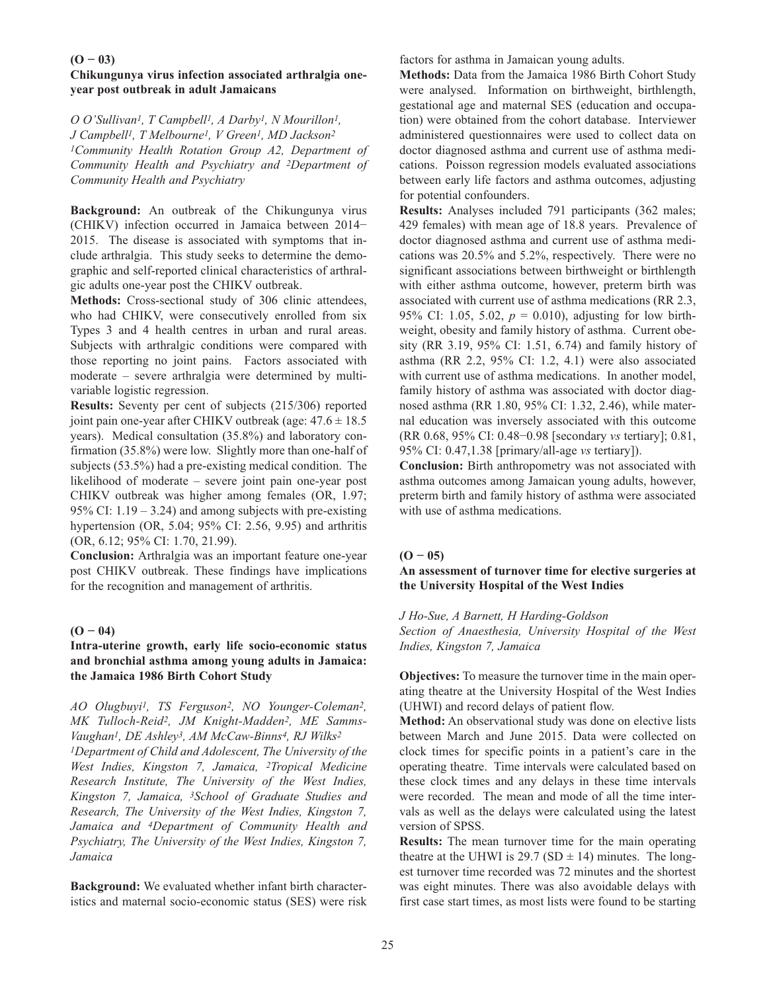### **(O − 03)**

# **Chikungunya virus infection associated arthralgia oneyear post outbreak in adult Jamaicans**

*O O'Sullivan1, T Campbell1, A Darby1, N Mourillon1, J Campbell1, T Melbourne1, V Green1, MD Jackson2 1Community Health Rotation Group A2, Department of Community Health and Psychiatry and 2Department of Community Health and Psychiatry*

**Background:** An outbreak of the Chikungunya virus (CHIKV) infection occurred in Jamaica between 2014− 2015. The disease is associated with symptoms that include arthralgia. This study seeks to determine the demographic and self-reported clinical characteristics of arthralgic adults one-year post the CHIKV outbreak.

**Methods:** Cross-sectional study of 306 clinic attendees, who had CHIKV, were consecutively enrolled from six Types 3 and 4 health centres in urban and rural areas. Subjects with arthralgic conditions were compared with those reporting no joint pains. Factors associated with moderate – severe arthralgia were determined by multivariable logistic regression.

**Results:** Seventy per cent of subjects (215/306) reported joint pain one-year after CHIKV outbreak (age: 47.6 ± 18.5 years). Medical consultation (35.8%) and laboratory confirmation (35.8%) were low. Slightly more than one-half of subjects (53.5%) had a pre-existing medical condition. The likelihood of moderate – severe joint pain one-year post CHIKV outbreak was higher among females (OR, 1.97; 95% CI:  $1.19 - 3.24$ ) and among subjects with pre-existing hypertension (OR, 5.04; 95% CI: 2.56, 9.95) and arthritis (OR, 6.12; 95% CI: 1.70, 21.99).

**Conclusion:** Arthralgia was an important feature one-year post CHIKV outbreak. These findings have implications for the recognition and management of arthritis.

### $(O - 04)$

# **Intra-uterine growth, early life socio-economic status and bronchial asthma among young adults in Jamaica: the Jamaica 1986 Birth Cohort Study**

*AO Olugbuyi1, TS Ferguson2, NO Younger-Coleman2, MK Tulloch-Reid2, JM Knight-Madden2, ME Samms-Vaughan1, DE Ashley3, AM McCaw-Binns4, RJ Wilks2 1Department of Child and Adolescent, The University of the West Indies, Kingston 7, Jamaica, 2Tropical Medicine Research Institute, The University of the West Indies, Kingston 7, Jamaica, 3School of Graduate Studies and Research, The University of the West Indies, Kingston 7, Jamaica and 4Department of Community Health and Psychiatry, The University of the West Indies, Kingston 7, Jamaica*

**Background:** We evaluated whether infant birth characteristics and maternal socio-economic status (SES) were risk factors for asthma in Jamaican young adults.

**Methods:** Data from the Jamaica 1986 Birth Cohort Study were analysed. Information on birthweight, birthlength, gestational age and maternal SES (education and occupation) were obtained from the cohort database. Interviewer administered questionnaires were used to collect data on doctor diagnosed asthma and current use of asthma medications. Poisson regression models evaluated associations between early life factors and asthma outcomes, adjusting for potential confounders.

**Results:** Analyses included 791 participants (362 males; 429 females) with mean age of 18.8 years. Prevalence of doctor diagnosed asthma and current use of asthma medications was 20.5% and 5.2%, respectively. There were no significant associations between birthweight or birthlength with either asthma outcome, however, preterm birth was associated with current use of asthma medications (RR 2.3, 95% CI: 1.05, 5.02, *p* = 0.010), adjusting for low birthweight, obesity and family history of asthma. Current obesity (RR 3.19, 95% CI: 1.51, 6.74) and family history of asthma (RR 2.2, 95% CI: 1.2, 4.1) were also associated with current use of asthma medications. In another model, family history of asthma was associated with doctor diagnosed asthma (RR 1.80, 95% CI: 1.32, 2.46), while maternal education was inversely associated with this outcome (RR 0.68, 95% CI: 0.48−0.98 [secondary *vs* tertiary]; 0.81, 95% CI: 0.47,1.38 [primary/all-age *vs* tertiary]).

**Conclusion:** Birth anthropometry was not associated with asthma outcomes among Jamaican young adults, however, preterm birth and family history of asthma were associated with use of asthma medications.

#### $(O - 05)$

### **An assessment of turnover time for elective surgeries at the University Hospital of the West Indies**

#### *J Ho-Sue, A Barnett, H Harding-Goldson*

*Section of Anaesthesia, University Hospital of the West Indies, Kingston 7, Jamaica*

**Objectives:** To measure the turnover time in the main operating theatre at the University Hospital of the West Indies (UHWI) and record delays of patient flow.

**Method:** An observational study was done on elective lists between March and June 2015. Data were collected on clock times for specific points in a patient's care in the operating theatre. Time intervals were calculated based on these clock times and any delays in these time intervals were recorded. The mean and mode of all the time intervals as well as the delays were calculated using the latest version of SPSS.

**Results:** The mean turnover time for the main operating theatre at the UHWI is 29.7 (SD  $\pm$  14) minutes. The longest turnover time recorded was 72 minutes and the shortest was eight minutes. There was also avoidable delays with first case start times, as most lists were found to be starting